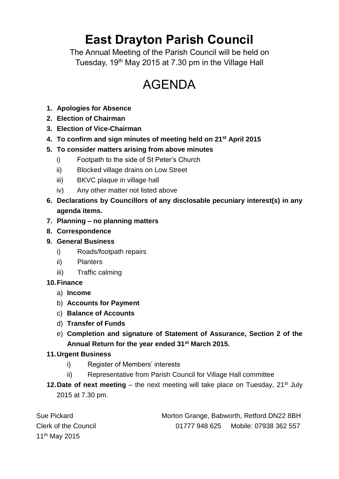# **East Drayton Parish Council**

The Annual Meeting of the Parish Council will be held on Tuesday, 19<sup>th</sup> May 2015 at 7.30 pm in the Village Hall

## AGENDA

- **1. Apologies for Absence**
- **2. Election of Chairman**
- **3. Election of Vice-Chairman**
- **4. To confirm and sign minutes of meeting held on 21st April 2015**

### **5. To consider matters arising from above minutes**

- i) Footpath to the side of St Peter's Church
- ii) Blocked village drains on Low Street
- iii) BKVC plaque in village hall
- iv) Any other matter not listed above
- **6. Declarations by Councillors of any disclosable pecuniary interest(s) in any agenda items.**
- **7. Planning – no planning matters**
- **8. Correspondence**
- **9. General Business**
	- i) Roads/footpath repairs
	- ii) Planters
	- iii) Traffic calming
- **10.Finance**
	- a) **Income**
	- b) **Accounts for Payment**
	- c) **Balance of Accounts**
	- d) **Transfer of Funds**
	- e) **Completion and signature of Statement of Assurance, Section 2 of the Annual Return for the year ended 31st March 2015.**

#### **11.Urgent Business**

- i) Register of Members' interests
- ii) Representative from Parish Council for Village Hall committee
- **12. Date of next meeting** the next meeting will take place on Tuesday, 21<sup>st</sup> July 2015 at 7.30 pm.

| Sue Pickard                 | Morton Grange, Babworth, Retford DN22 8BH |                       |
|-----------------------------|-------------------------------------------|-----------------------|
| <b>Clerk of the Council</b> | 01777 948 625                             | Mobile: 07938 362 557 |
| 11 <sup>th</sup> May 2015   |                                           |                       |